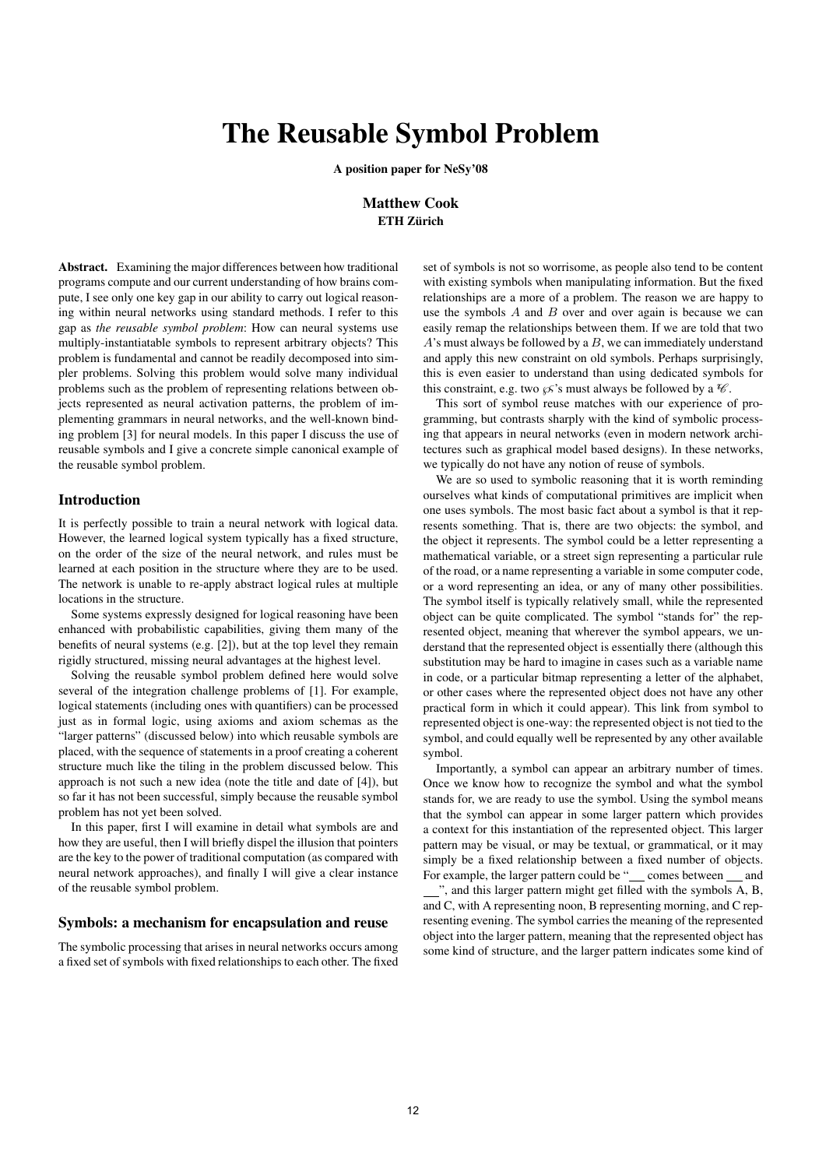# The Reusable Symbol Problem

A position paper for NeSy'08

# Matthew Cook ETH Zürich

Abstract. Examining the major differences between how traditional programs compute and our current understanding of how brains compute, I see only one key gap in our ability to carry out logical reasoning within neural networks using standard methods. I refer to this gap as *the reusable symbol problem*: How can neural systems use multiply-instantiatable symbols to represent arbitrary objects? This problem is fundamental and cannot be readily decomposed into simpler problems. Solving this problem would solve many individual problems such as the problem of representing relations between objects represented as neural activation patterns, the problem of implementing grammars in neural networks, and the well-known binding problem [3] for neural models. In this paper I discuss the use of reusable symbols and I give a concrete simple canonical example of the reusable symbol problem.

## Introduction

It is perfectly possible to train a neural network with logical data. However, the learned logical system typically has a fixed structure, on the order of the size of the neural network, and rules must be learned at each position in the structure where they are to be used. The network is unable to re-apply abstract logical rules at multiple locations in the structure.

Some systems expressly designed for logical reasoning have been enhanced with probabilistic capabilities, giving them many of the benefits of neural systems (e.g. [2]), but at the top level they remain rigidly structured, missing neural advantages at the highest level.

Solving the reusable symbol problem defined here would solve several of the integration challenge problems of [1]. For example, logical statements (including ones with quantifiers) can be processed just as in formal logic, using axioms and axiom schemas as the "larger patterns" (discussed below) into which reusable symbols are placed, with the sequence of statements in a proof creating a coherent structure much like the tiling in the problem discussed below. This approach is not such a new idea (note the title and date of [4]), but so far it has not been successful, simply because the reusable symbol problem has not yet been solved.

In this paper, first I will examine in detail what symbols are and how they are useful, then I will briefly dispel the illusion that pointers are the key to the power of traditional computation (as compared with neural network approaches), and finally I will give a clear instance of the reusable symbol problem.

#### Symbols: a mechanism for encapsulation and reuse

The symbolic processing that arises in neural networks occurs among a fixed set of symbols with fixed relationships to each other. The fixed

set of symbols is not so worrisome, as people also tend to be content with existing symbols when manipulating information. But the fixed relationships are a more of a problem. The reason we are happy to use the symbols  $A$  and  $B$  over and over again is because we can easily remap the relationships between them. If we are told that two  $A$ 's must always be followed by a  $B$ , we can immediately understand and apply this new constraint on old symbols. Perhaps surprisingly, this is even easier to understand than using dedicated symbols for this constraint, e.g. two  $\mathcal{L}$ 's must always be followed by a  $\mathcal{C}$ .

This sort of symbol reuse matches with our experience of programming, but contrasts sharply with the kind of symbolic processing that appears in neural networks (even in modern network architectures such as graphical model based designs). In these networks, we typically do not have any notion of reuse of symbols.

We are so used to symbolic reasoning that it is worth reminding ourselves what kinds of computational primitives are implicit when one uses symbols. The most basic fact about a symbol is that it represents something. That is, there are two objects: the symbol, and the object it represents. The symbol could be a letter representing a mathematical variable, or a street sign representing a particular rule of the road, or a name representing a variable in some computer code, or a word representing an idea, or any of many other possibilities. The symbol itself is typically relatively small, while the represented object can be quite complicated. The symbol "stands for" the represented object, meaning that wherever the symbol appears, we understand that the represented object is essentially there (although this substitution may be hard to imagine in cases such as a variable name in code, or a particular bitmap representing a letter of the alphabet, or other cases where the represented object does not have any other practical form in which it could appear). This link from symbol to represented object is one-way: the represented object is not tied to the symbol, and could equally well be represented by any other available symbol.

Importantly, a symbol can appear an arbitrary number of times. Once we know how to recognize the symbol and what the symbol stands for, we are ready to use the symbol. Using the symbol means that the symbol can appear in some larger pattern which provides a context for this instantiation of the represented object. This larger pattern may be visual, or may be textual, or grammatical, or it may simply be a fixed relationship between a fixed number of objects. For example, the larger pattern could be " comes between and ", and this larger pattern might get filled with the symbols A, B, and C, with A representing noon, B representing morning, and C representing evening. The symbol carries the meaning of the represented object into the larger pattern, meaning that the represented object has some kind of structure, and the larger pattern indicates some kind of